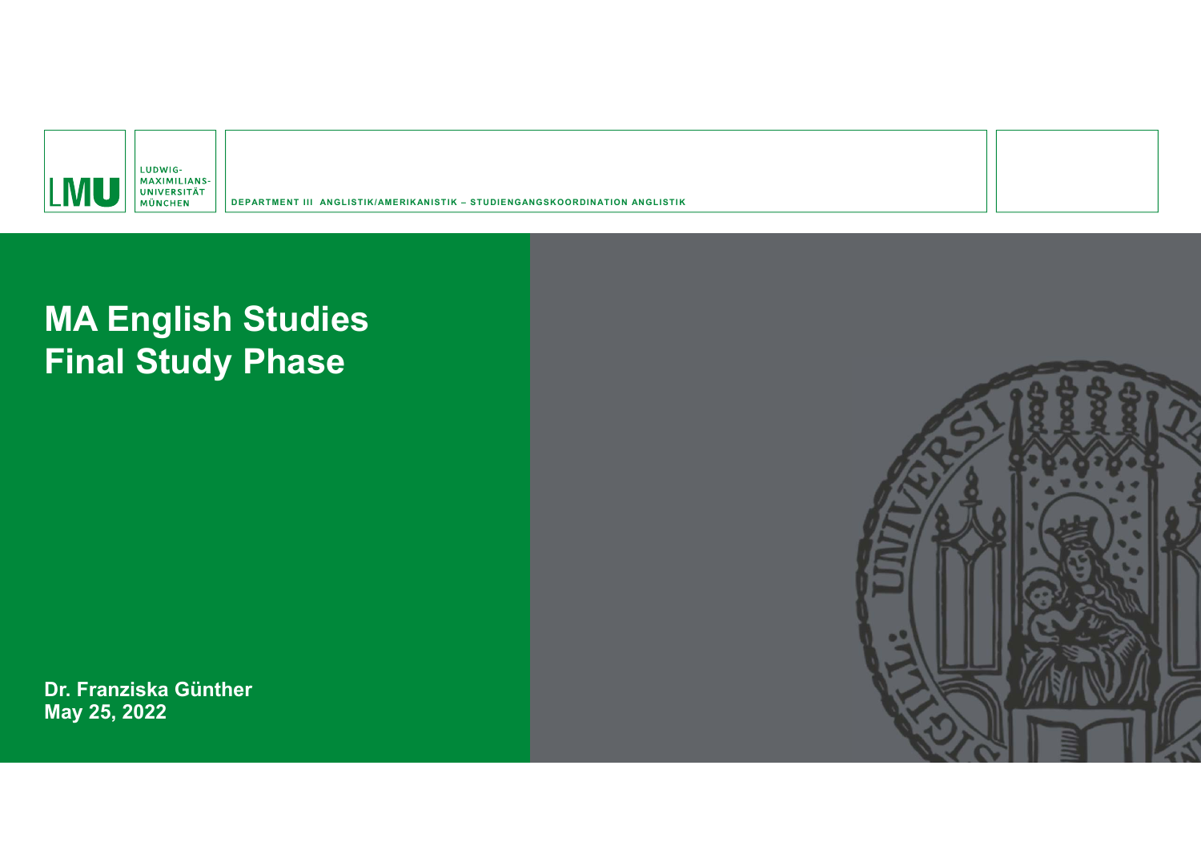

**DEPARTMENT III ANGLISTIK/AMERIKANISTIK – STUDIENGANGSKOORDINATION ANGLISTIK**

# **MA English Studies Final Study Phase**

**Dr. Franziska Günther May 25, 2022**

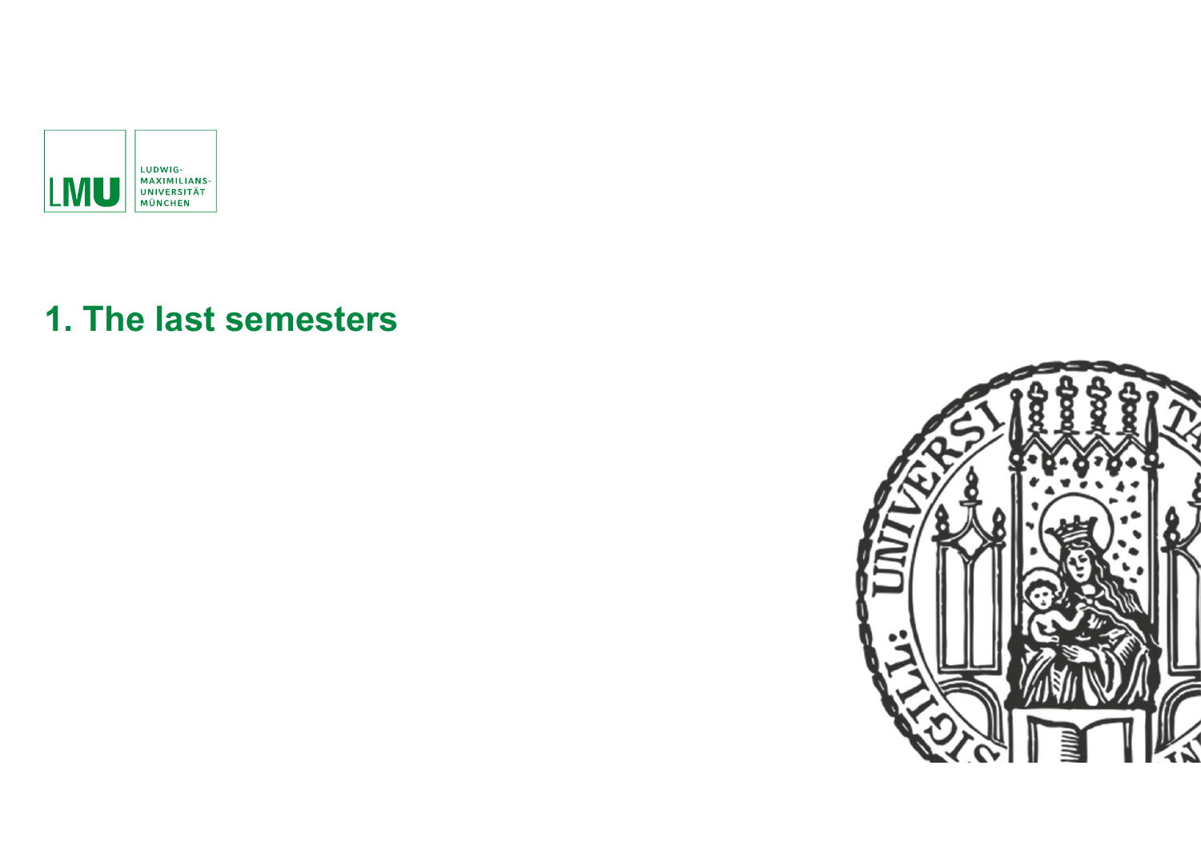

# **1. The last semesters**

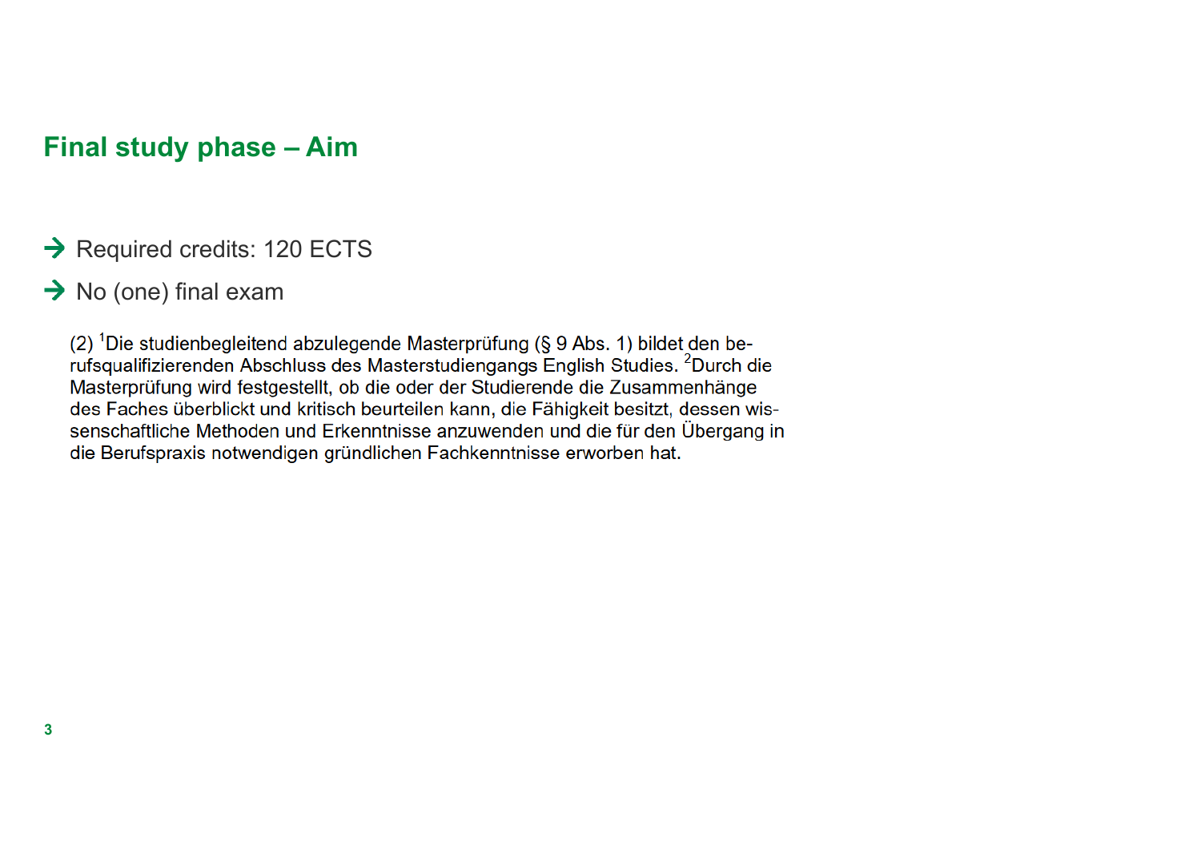## **Final study phase – Aim**

- $\rightarrow$  Required credits: 120 ECTS
- $\rightarrow$  No (one) final exam

(2) <sup>1</sup>Die studienbegleitend abzulegende Masterprüfung (§ 9 Abs. 1) bildet den berufsqualifizierenden Abschluss des Masterstudiengangs English Studies. <sup>2</sup>Durch die Masterprüfung wird festgestellt, ob die oder der Studierende die Zusammenhänge des Faches überblickt und kritisch beurteilen kann, die Fähigkeit besitzt, dessen wissenschaftliche Methoden und Erkenntnisse anzuwenden und die für den Übergang in die Berufspraxis notwendigen gründlichen Fachkenntnisse erworben hat.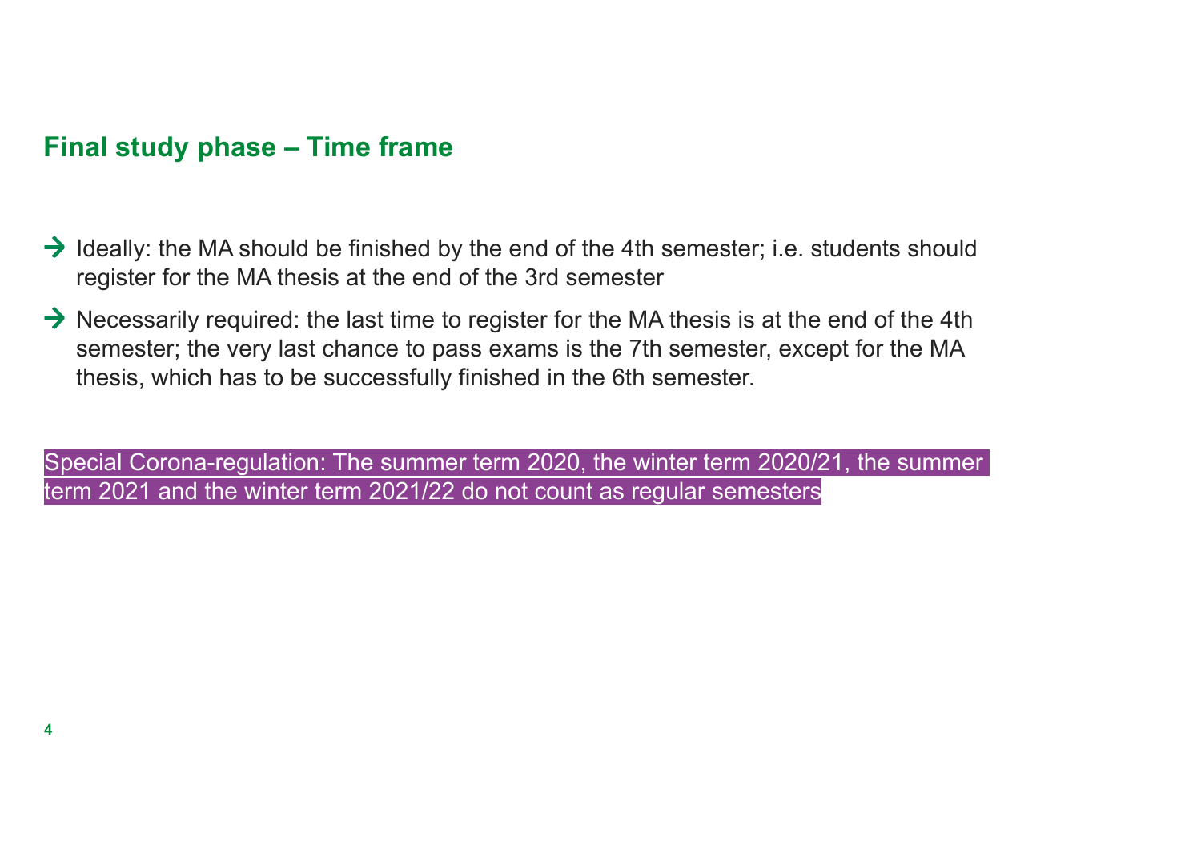# **Final study phase – Time frame**

- $\rightarrow$  Ideally: the MA should be finished by the end of the 4th semester; i.e. students should register for the MA thesis at the end of the 3rd semester
- $\rightarrow$  Necessarily required: the last time to register for the MA thesis is at the end of the 4th semester; the very last chance to pass exams is the 7th semester, except for the MA thesis, which has to be successfully finished in the 6th semester.

Special Corona-regulation: The summer term 2020, the winter term 2020/21, the summer term 2021 and the winter term 2021/22 do not count as regular semesters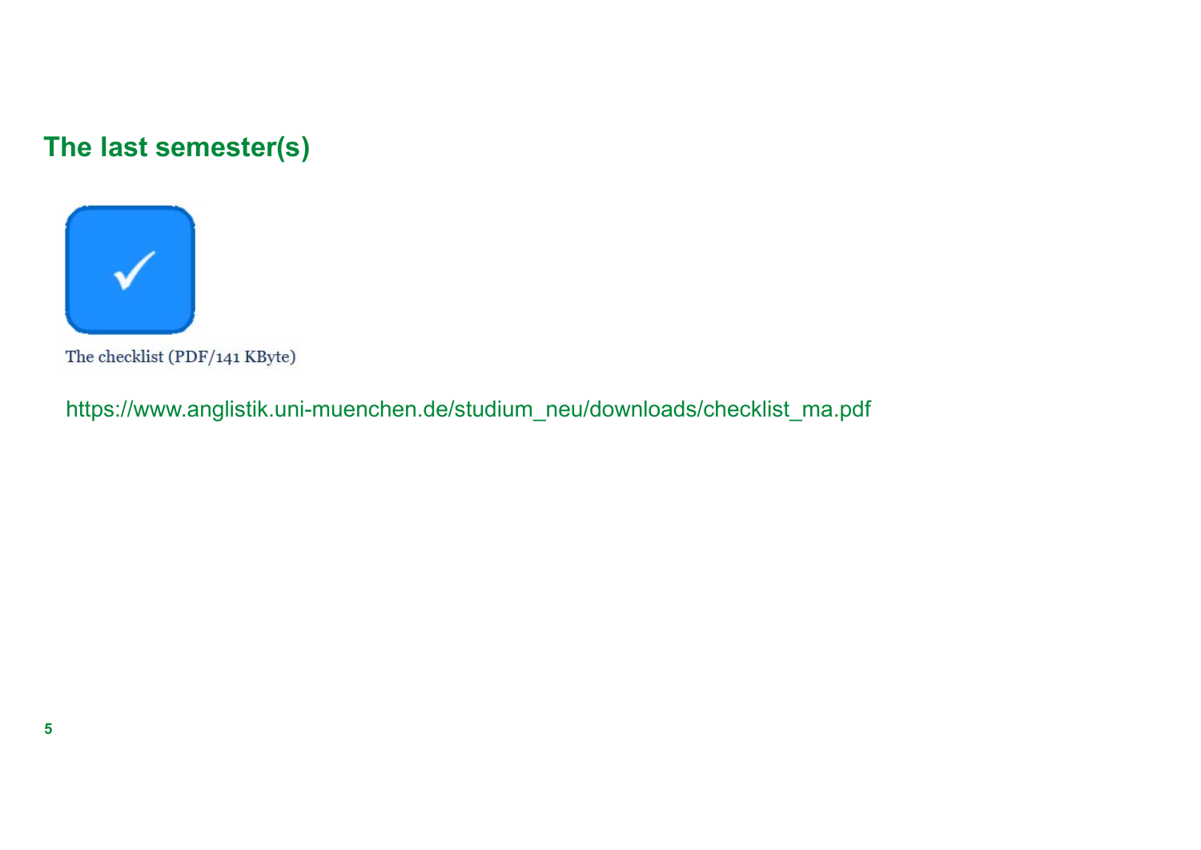# **The last semester(s)**



The checklist (PDF/141 KByte)

https://www.anglistik.uni-muenchen.de/studium\_neu/downloads/checklist\_ma.pdf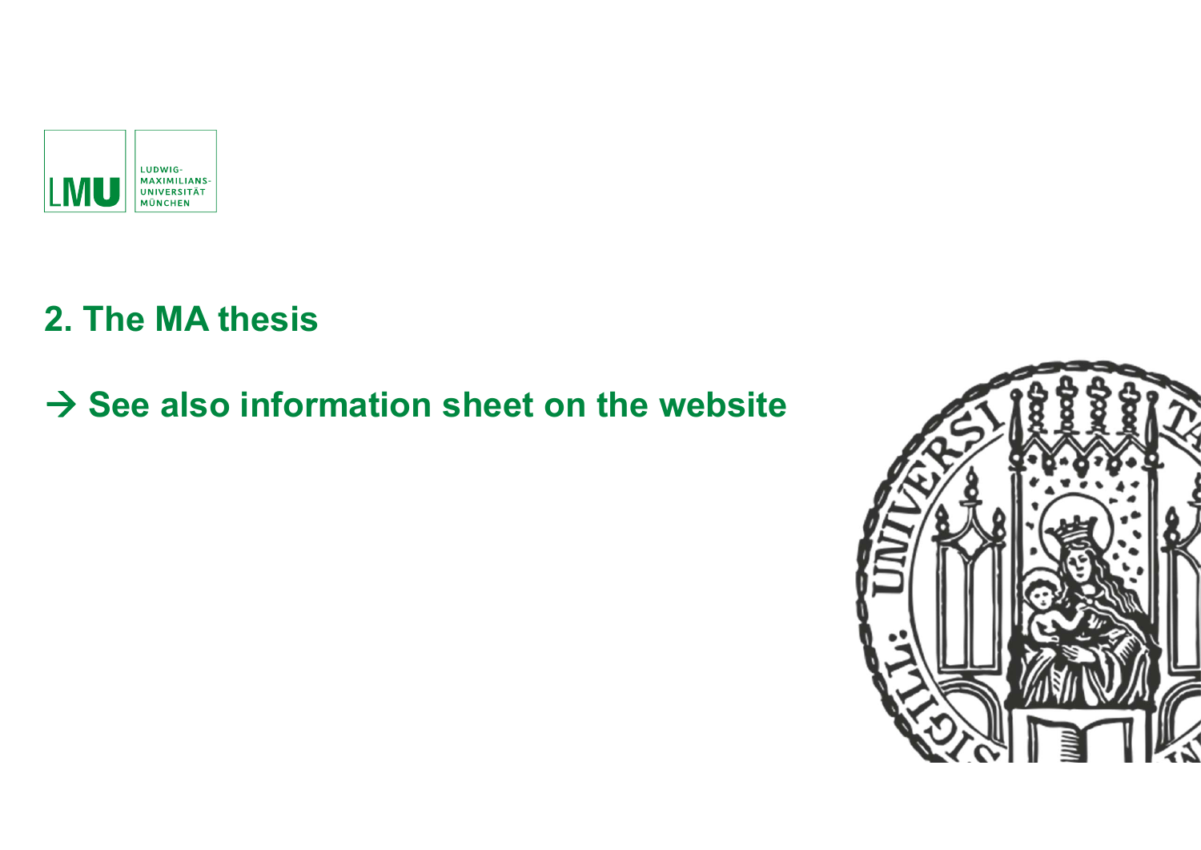

# **2. The MA thesis**

# $→$  **See also information sheet on the website**

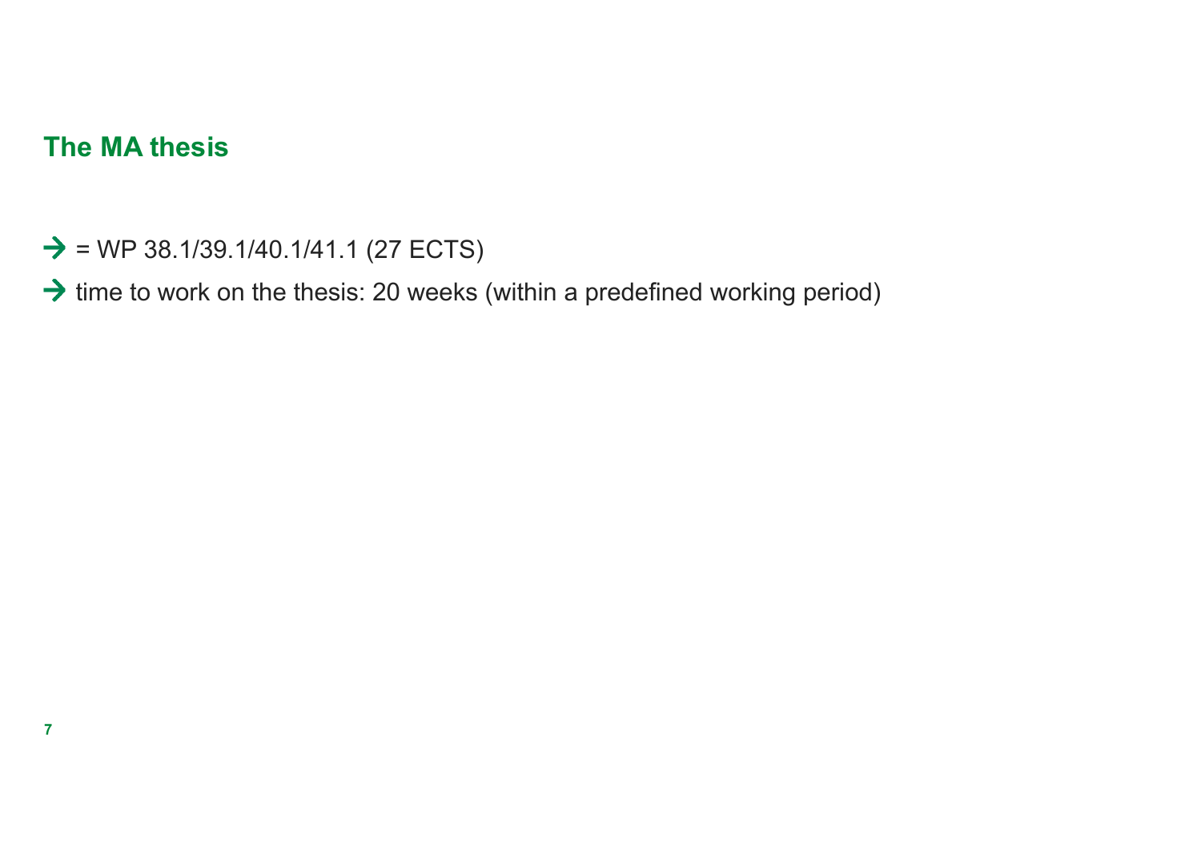## **The MA thesis**

**7**

- $\rightarrow$  = WP 38.1/39.1/40.1/41.1 (27 ECTS)
- $\rightarrow$  time to work on the thesis: 20 weeks (within a predefined working period)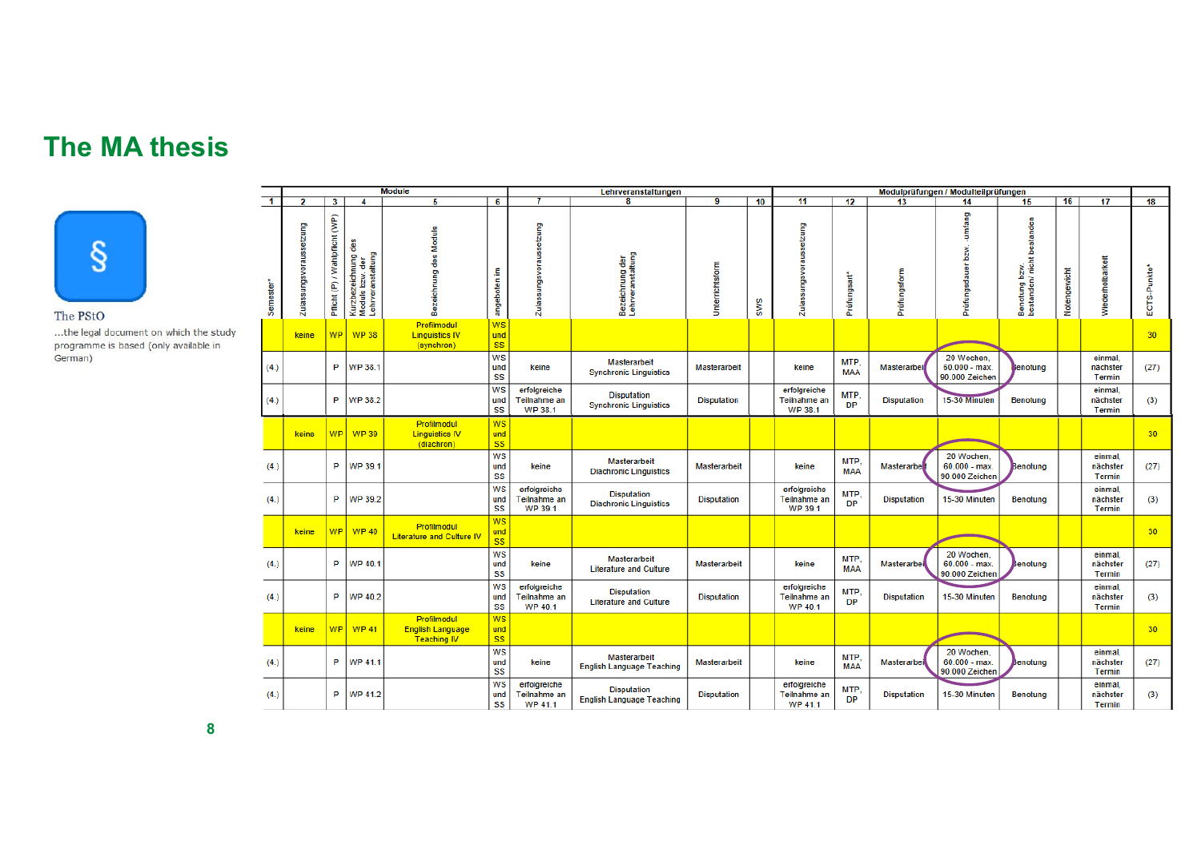## **The MA thesis**



The PStO

...the legal document on which the study programme is based (only available in German)

|                      |                         |                                   |                                                             | <b>Module</b>                                                |                               |                                                | Lehrveranstaltungen                                    |                     |            | Modulprüfungen / Modulteilprüfungen            |                    |                    |                                                |                                             |              |                               |              |
|----------------------|-------------------------|-----------------------------------|-------------------------------------------------------------|--------------------------------------------------------------|-------------------------------|------------------------------------------------|--------------------------------------------------------|---------------------|------------|------------------------------------------------|--------------------|--------------------|------------------------------------------------|---------------------------------------------|--------------|-------------------------------|--------------|
| $\blacktriangleleft$ | 2                       | 3                                 | 4                                                           | 5                                                            | 6                             | 7                                              | $\overline{\mathbf{8}}$                                | $\overline{9}$      | 10         | 11                                             | 12                 | 13                 | 14                                             | 15                                          | 16           | 17                            | 18           |
| Semester'            | Zulassungsvoraussetzung | (P) / Wahlpflicht (WP)<br>Pflicht | Kurzbezeichnung des<br>Moduls bzw. der<br>Lehrveranstaltung | Bezeichnung des Moduls                                       | £.<br>angeboten               | Zulassungsvoraussetzung                        | Bezeichnung der<br>Lehrveranstaltung                   | Unterrichtsform     | <b>SWS</b> | Zulassungsvoraussetzung                        | Prüfungsart*       | Prüfungsform       | -umfang<br>Prüfungsdauer bzw.                  | Benotung bzw.<br>bestanden/ nicht bestanden | Notengewicht | Wiederholbarkeit              | ECTS-Punkte* |
|                      | keine                   | <b>WP</b>                         | <b>WP38</b>                                                 | Profilmodul<br><b>Linguistics IV</b><br>(synchron)           | WS<br>und<br><b>SS</b>        |                                                |                                                        |                     |            |                                                |                    |                    |                                                |                                             |              |                               | 30           |
| (4.)                 |                         | P                                 | <b>WP 38.1</b>                                              |                                                              | <b>WS</b><br>und<br>SS        | keine                                          | <b>Masterarbeit</b><br><b>Synchronic Linguistics</b>   | Masterarbeit        |            | keine                                          | MTP.<br><b>MAA</b> | <b>Masterarbei</b> | 20 Wochen,<br>$60.000 - max$<br>90.000 Zeichen | enotung                                     |              | einmal,<br>nächster<br>Termin | (27)         |
| (4.)                 |                         | P                                 | WP 38.2                                                     |                                                              | <b>WS</b><br>und<br>SS        | erfolgreiche<br>Teilnahme an<br><b>WP 38.1</b> | <b>Disputation</b><br><b>Synchronic Linguistics</b>    | <b>Disputation</b>  |            | erfolgreiche<br>Teilnahme an<br><b>WP 38.1</b> | MTP,<br><b>DP</b>  | <b>Disputation</b> | 15-30 Minuten                                  | Benotung                                    |              | einmal,<br>nächster<br>Termin | (3)          |
|                      | keine                   | <b>WP</b>                         | <b>WP39</b>                                                 | Profilmodul<br><b>Linguistics IV</b><br>(diachron)           | <b>WS</b><br>und<br><b>SS</b> |                                                |                                                        |                     |            |                                                |                    |                    |                                                |                                             |              |                               | 30           |
| (4.)                 |                         | P                                 | <b>WP 39.1</b>                                              |                                                              | <b>WS</b><br>und<br>SS        | keine                                          | <b>Masterarbeit</b><br><b>Diachronic Linguistics</b>   | <b>Masterarbeit</b> |            | keine                                          | MTP.<br><b>MAA</b> | <b>Masterarbe</b>  | 20 Wochen,<br>$60.000 - max$<br>90.000 Zeichen | Benotung                                    |              | einmal,<br>nächster<br>Termin | (27)         |
| (4.)                 |                         | P.                                | <b>WP 39.2</b>                                              |                                                              | <b>WS</b><br>und<br>SS        | erfolgreiche<br>Teilnahme an<br><b>WP 39.1</b> | <b>Disputation</b><br><b>Diachronic Linguistics</b>    | <b>Disputation</b>  |            | erfolgreiche<br>Teilnahme an<br><b>WP 39.1</b> | MTP.<br><b>DP</b>  | <b>Disputation</b> | 15-30 Minuten                                  | Benotung                                    |              | einmal.<br>nächster<br>Termin | (3)          |
|                      | keine                   | <b>WP</b>                         | <b>WP40</b>                                                 | Profilmodul<br><b>Literature and Culture IV</b>              | <b>WS</b><br>und<br><b>SS</b> |                                                |                                                        |                     |            |                                                |                    |                    |                                                |                                             |              |                               | 30           |
| (4.)                 |                         | P                                 | WP 40.1                                                     |                                                              | <b>WS</b><br>und<br>SS        | keine                                          | <b>Masterarbeit</b><br><b>Literature and Culture</b>   | Masterarbeit        |            | keine                                          | MTP,<br><b>MAA</b> | Masterarbei        | 20 Wochen.<br>$60.000 - max$<br>90.000 Zeichen | lenotung                                    |              | einmal.<br>nächster<br>Termin | (27)         |
| (4.)                 |                         | P                                 | <b>WP 40.2</b>                                              |                                                              | <b>WS</b><br>und<br>SS        | erfolgreiche<br>Teilnahme an<br><b>WP 40.1</b> | <b>Disputation</b><br><b>Literature and Culture</b>    | <b>Disputation</b>  |            | erfolgreiche<br>Teilnahme an<br><b>WP 40.1</b> | MTP.<br><b>DP</b>  | <b>Disputation</b> | 15-30 Minuten                                  | Benotung                                    |              | einmal,<br>nächster<br>Termin | (3)          |
|                      | keine                   | <b>WP</b>                         | <b>WP41</b>                                                 | Profilmodul<br><b>English Language</b><br><b>Teaching IV</b> | <b>WS</b><br>und<br><b>SS</b> |                                                |                                                        |                     |            |                                                |                    |                    |                                                |                                             |              |                               | 30           |
| (4.)                 |                         | P                                 | WP 41.1                                                     |                                                              | <b>WS</b><br>und<br>SS        | keine                                          | Masterarbeit<br><b>English Language Teaching</b>       | <b>Masterarbeit</b> |            | keine                                          | MTP.<br><b>MAA</b> | Masterarbei        | 20 Wochen,<br>$60.000 - max$<br>90.000 Zeichen | senotung                                    |              | einmal.<br>nächster<br>Termin | (27)         |
| (4.)                 |                         | P                                 | <b>WP 41.2</b>                                              |                                                              | <b>WS</b><br>und<br>SS        | erfolgreiche<br>Teilnahme an<br><b>WP 41.1</b> | <b>Disputation</b><br><b>English Language Teaching</b> | <b>Disputation</b>  |            | erfolgreiche<br>Teilnahme an<br><b>WP 41.1</b> | MTP.<br><b>DP</b>  | <b>Disputation</b> | 15-30 Minuten                                  | Benotung                                    |              | einmal.<br>nächster<br>Termin | (3)          |

**8**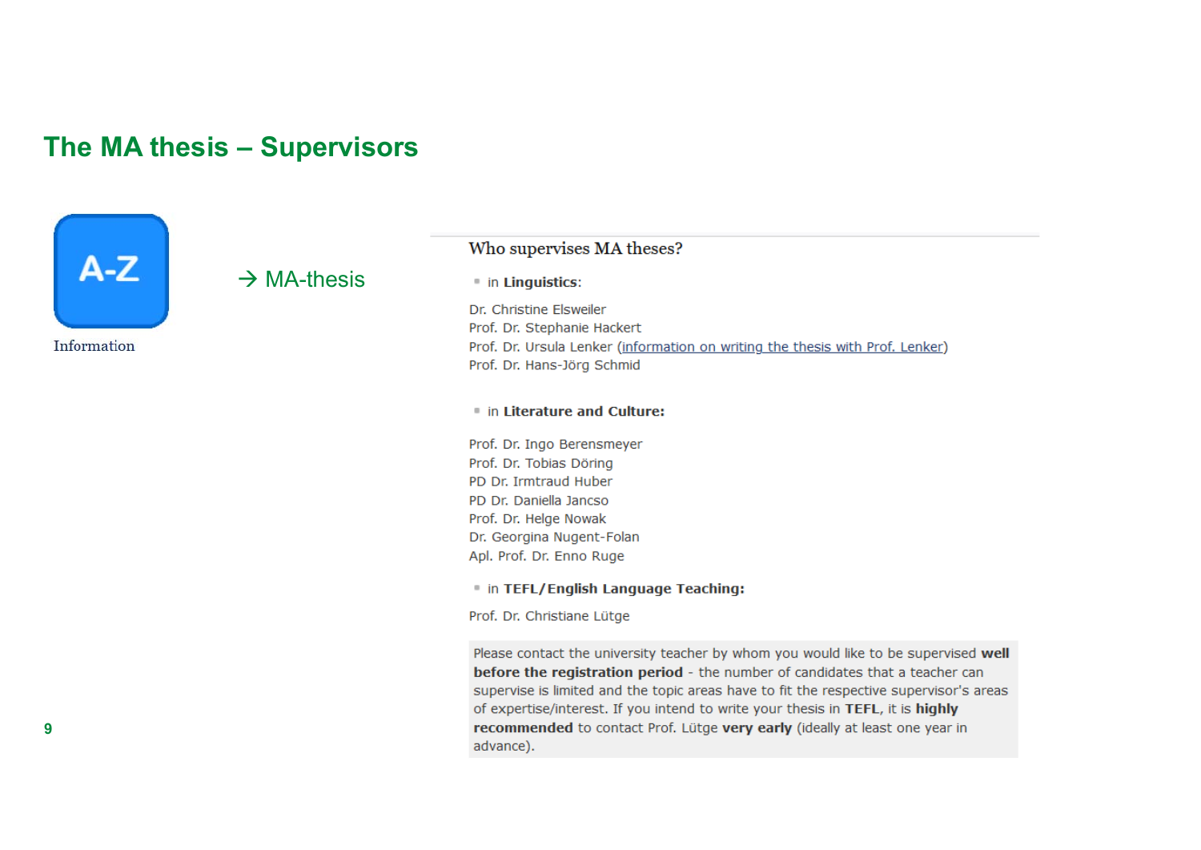### **The MA thesis – Supervisors**



#### $\rightarrow$  MA-thesis

# Who supervises MA theses?

in Linguistics:

Dr. Christine Elsweiler Prof. Dr. Stephanie Hackert Prof. Dr. Ursula Lenker (information on writing the thesis with Prof. Lenker) Prof. Dr. Hans-Jörg Schmid

#### in Literature and Culture:

Prof. Dr. Ingo Berensmeyer Prof. Dr. Tobias Döring PD Dr. Irmtraud Huber PD Dr. Daniella Jancso Prof. Dr. Helge Nowak Dr. Georgina Nugent-Folan Apl. Prof. Dr. Enno Ruge

in TEFL/English Language Teaching:

Prof. Dr. Christiane Lütge

Please contact the university teacher by whom you would like to be supervised well before the registration period - the number of candidates that a teacher can supervise is limited and the topic areas have to fit the respective supervisor's areas of expertise/interest. If you intend to write your thesis in TEFL, it is highly recommended to contact Prof. Lütge very early (ideally at least one year in advance).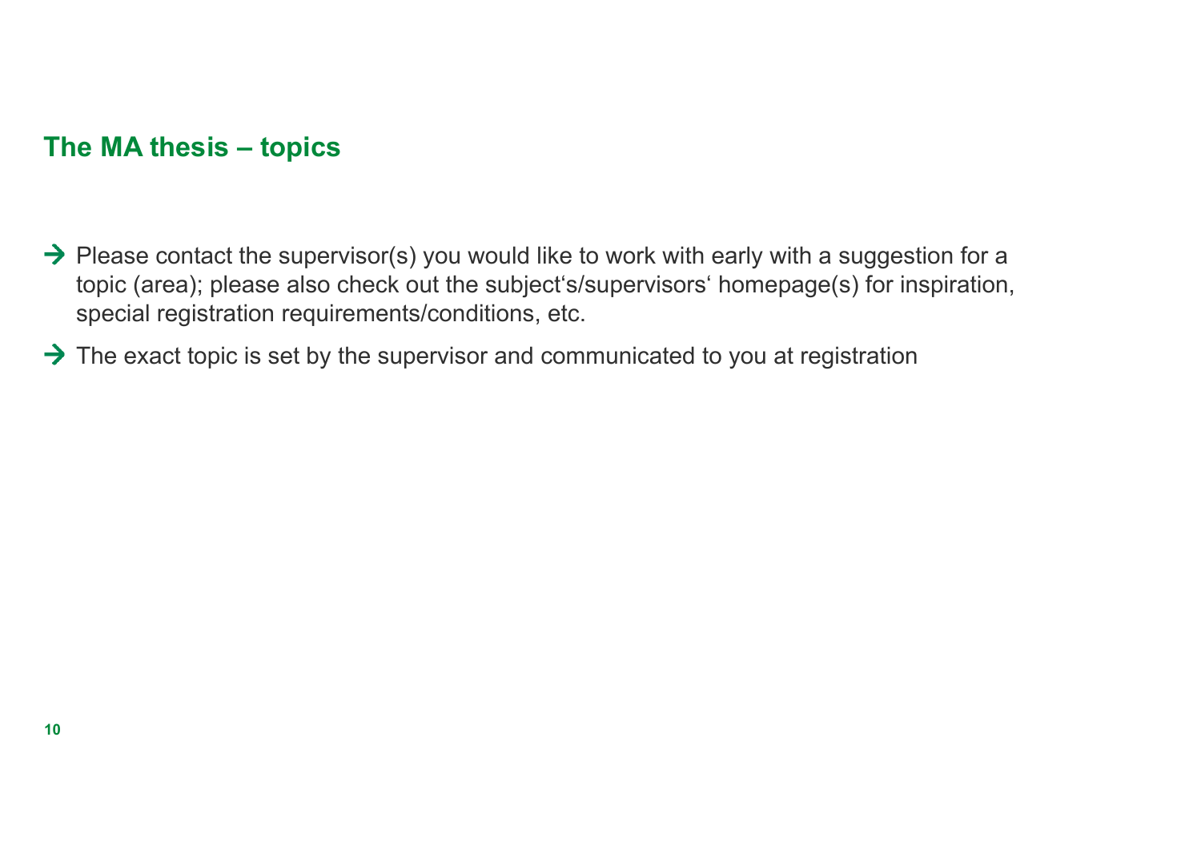### **The MA thesis – topics**

- $\rightarrow$  Please contact the supervisor(s) you would like to work with early with a suggestion for a topic (area); please also check out the subject's/supervisors' homepage(s) for inspiration, special registration requirements/conditions, etc.
- $\rightarrow$  The exact topic is set by the supervisor and communicated to you at registration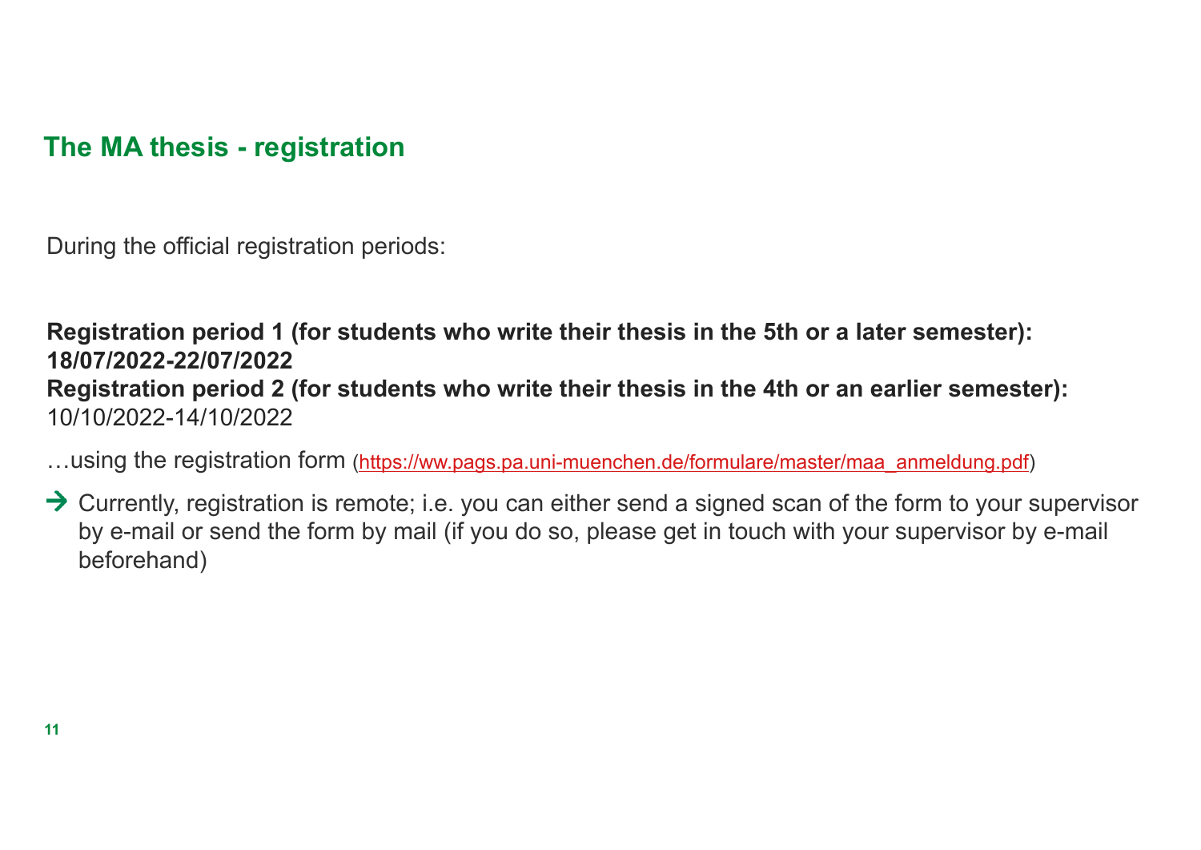**The MA thesis - registration**

During the official registration periods:

Registration period 1 (for students who write their thesis in the 5th or a later semester): **18/07/2022-22/07/2022**Registration period 2 (for students who write their thesis in the 4th or an earlier semester): 10/10/2022-14/10/2022

...using the registration form (https://ww.pags.pa.uni-muenchen.de/formulare/master/maa\_anmeldung.pdf)

 $\rightarrow$  Currently, registration is remote; i.e. you can either send a signed scan of the form to your supervisor by e-mail or send the form by mail (if you do so, please get in touch with your supervisor by e-mail beforehand)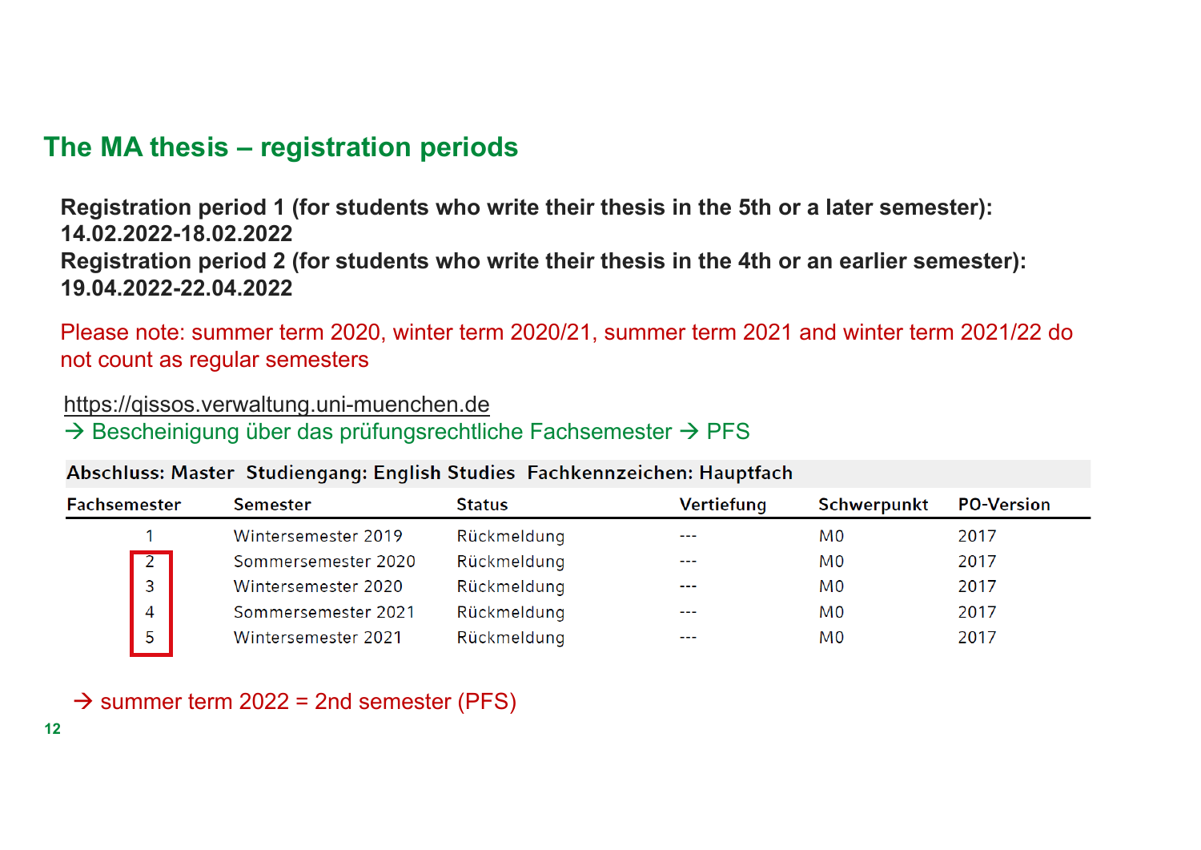# **The MA thesis – registration periods**

Registration period 1 (for students who write their thesis in the 5th or a later semester): **14.02.2022-18.02.2022**Registration period 2 (for students who write their thesis in the 4th or an earlier semester): **19.04.2022-22.04.2022**

Please note: summer term 2020, winter term 2020/21, summer term 2021 and winter term 2021/22 do not count as regular semesters

https://qissos.verwaltung.uni-muenchen.de

 $\rightarrow$  Bescheinigung über das prüfungsrechtliche Fachsemester  $\rightarrow$  PFS

### Abschluss: Master Studiengang: English Studies Fachkennzeichen: Hauptfach

| Fachsemester |                | <b>Semester</b>     | <b>Status</b> | Vertiefung | <b>Schwerpunkt</b> | <b>PO-Version</b> |
|--------------|----------------|---------------------|---------------|------------|--------------------|-------------------|
|              |                | Wintersemester 2019 | Rückmeldung   | $- - -$    | M0                 | 2017              |
|              | $\overline{2}$ | Sommersemester 2020 | Rückmeldung   | ---        | M0                 | 2017              |
|              | 3              | Wintersemester 2020 | Rückmeldung   | $- - -$    | M0                 | 2017              |
|              | $\overline{4}$ | Sommersemester 2021 | Rückmeldung   | $- - -$    | M0                 | 2017              |
|              |                | Wintersemester 2021 | Rückmeldung   | ----       | M <sub>0</sub>     | 2017              |

 $\rightarrow$  summer term 2022 = 2nd semester (PFS)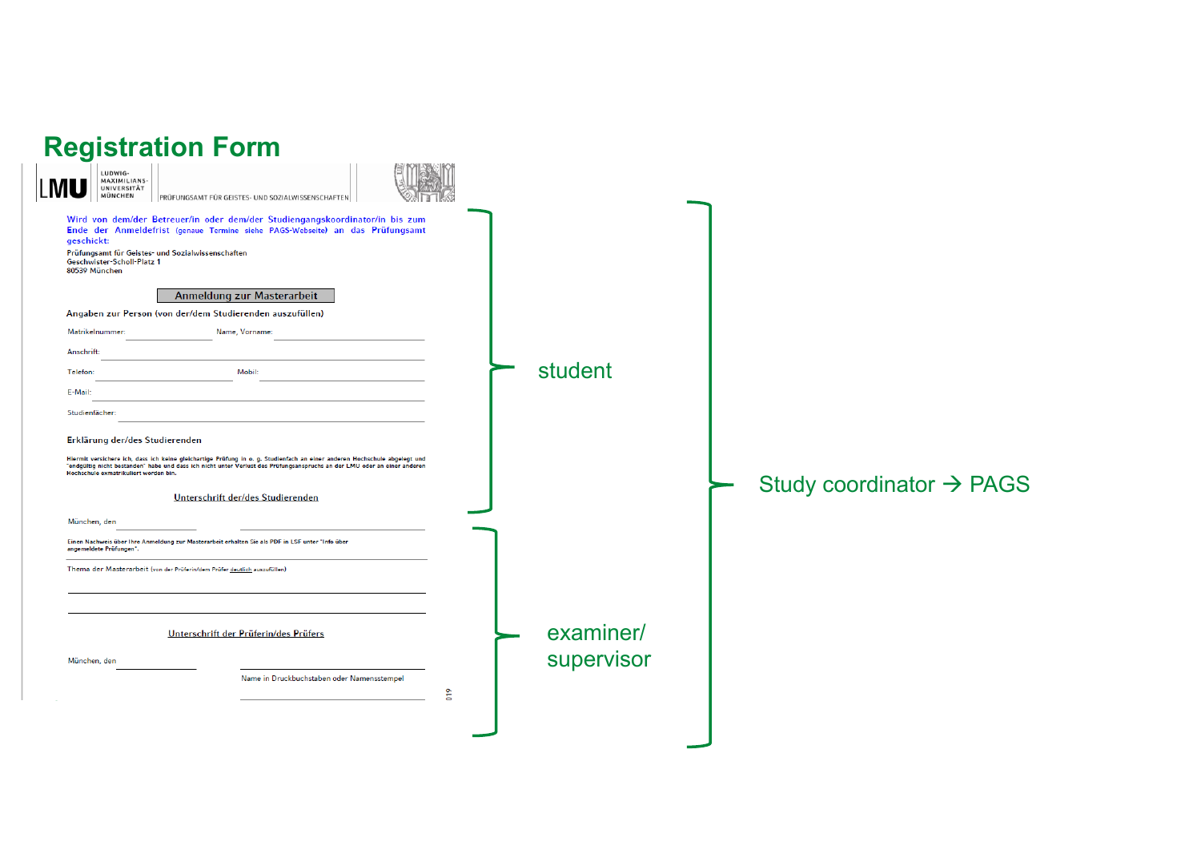| <b>Registration Form</b>                                                                                                                                                                                                                                                                                                                                                                                                                                                                                                                                                                                                                                                                                                                                                                                                                                  |                             |                                      |
|-----------------------------------------------------------------------------------------------------------------------------------------------------------------------------------------------------------------------------------------------------------------------------------------------------------------------------------------------------------------------------------------------------------------------------------------------------------------------------------------------------------------------------------------------------------------------------------------------------------------------------------------------------------------------------------------------------------------------------------------------------------------------------------------------------------------------------------------------------------|-----------------------------|--------------------------------------|
| LUDWIG-<br>MAXIMILIANS-<br>UNIVERSITÄT<br>MÜNCHEN<br>PRÜFUNGSAMT FÜR GEISTES- UND SOZIALWISSENSCHAFTEN                                                                                                                                                                                                                                                                                                                                                                                                                                                                                                                                                                                                                                                                                                                                                    |                             |                                      |
| Wird von dem/der Betreuer/in oder dem/der Studiengangskoordinator/in bis zum<br>Ende der Anmeldefrist (genaue Termine siehe PAGS-Webseite) an das Prüfungsamt<br>geschickt:<br>Prüfungsamt für Geistes- und Sozialwissenschaften<br>Geschwister-Scholl-Platz 1<br>80539 München<br>Anmeldung zur Masterarbeit<br>Angaben zur Person (von der/dem Studierenden auszufüllen)<br>Matrikelnummer:<br>Name, Vorname:<br>Anschrift:<br>Mobil:<br>Telefon:<br>E-Mail:<br>Studienfächer:<br>Erklärung der/des Studierenden<br>Hiermit versichere ich, dass ich keine gleichartige Prüfung in o. g. Studienfach an einer anderen Hochschule abgelegt und<br>"endgültig nicht bestanden" habe und dass ich nicht unter Verlust des Prüfungsanspruchs an der LMU oder an einer anderen<br>Hochschule exmatrikuliert worden bin.<br>Unterschrift der/des Studierenden | student                     | Study coordinator $\rightarrow$ PAGS |
| München, den<br>Einen Nachweis über Ihre Anmeldung zur Masterarbeit erhalten Sie als PDF in LSF unter "Info über<br>angemeldete Prüfungen".                                                                                                                                                                                                                                                                                                                                                                                                                                                                                                                                                                                                                                                                                                               |                             |                                      |
| Thema der Masterarbeit (von der Prüferin/dem Prüfer deutlich auszufüllen)                                                                                                                                                                                                                                                                                                                                                                                                                                                                                                                                                                                                                                                                                                                                                                                 |                             |                                      |
| Unterschrift der Prüferin/des Prüfers                                                                                                                                                                                                                                                                                                                                                                                                                                                                                                                                                                                                                                                                                                                                                                                                                     | examiner/                   |                                      |
| München, den<br>Name in Druckbuchstaben oder Namensstempel                                                                                                                                                                                                                                                                                                                                                                                                                                                                                                                                                                                                                                                                                                                                                                                                | supervisor<br>$\frac{8}{2}$ |                                      |
|                                                                                                                                                                                                                                                                                                                                                                                                                                                                                                                                                                                                                                                                                                                                                                                                                                                           |                             |                                      |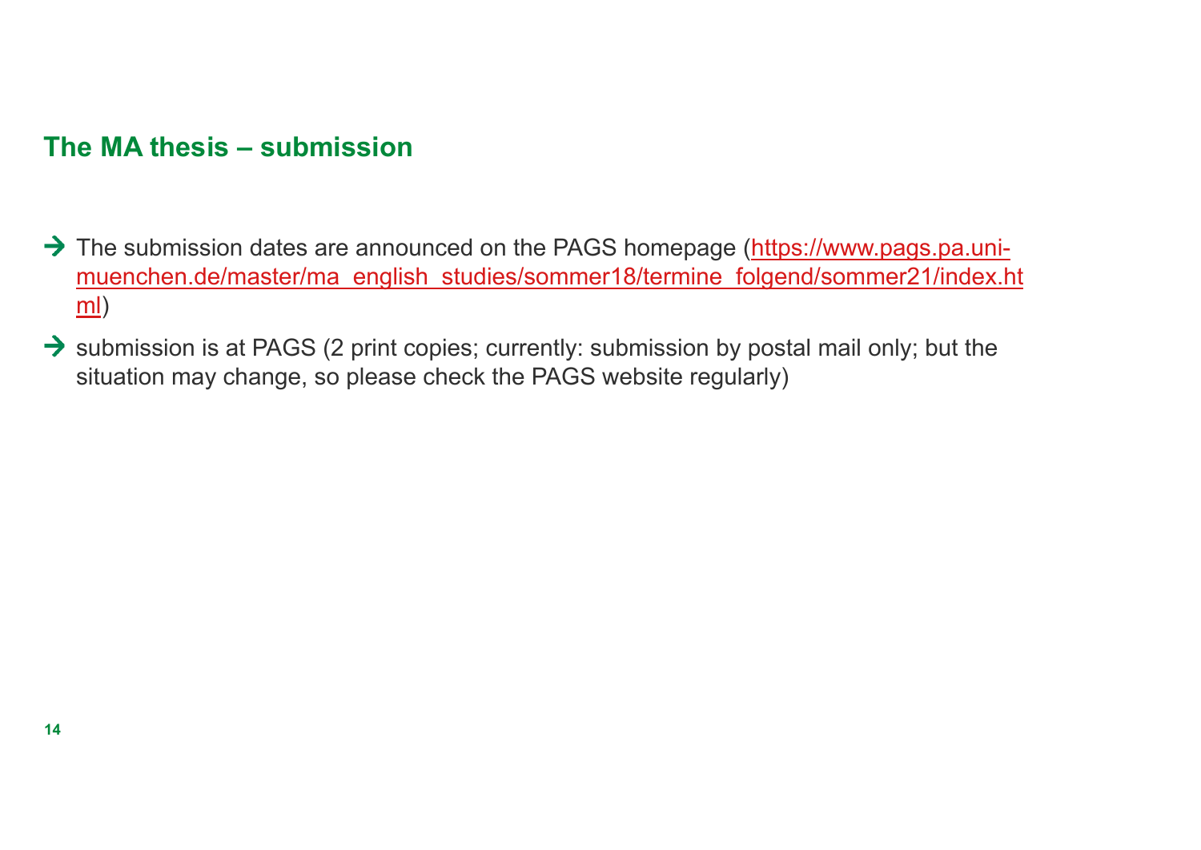# **The MA thesis – submission**

- → The submission dates are announced on the PAGS homepage (https://www.pags.pa.unimuenchen.de/master/ma\_english\_studies/sommer18/termine\_folgend/sommer21/index.ht ml)
- $\rightarrow$  submission is at PAGS (2 print copies; currently: submission by postal mail only; but the situation may change, so please check the PAGS website regularly)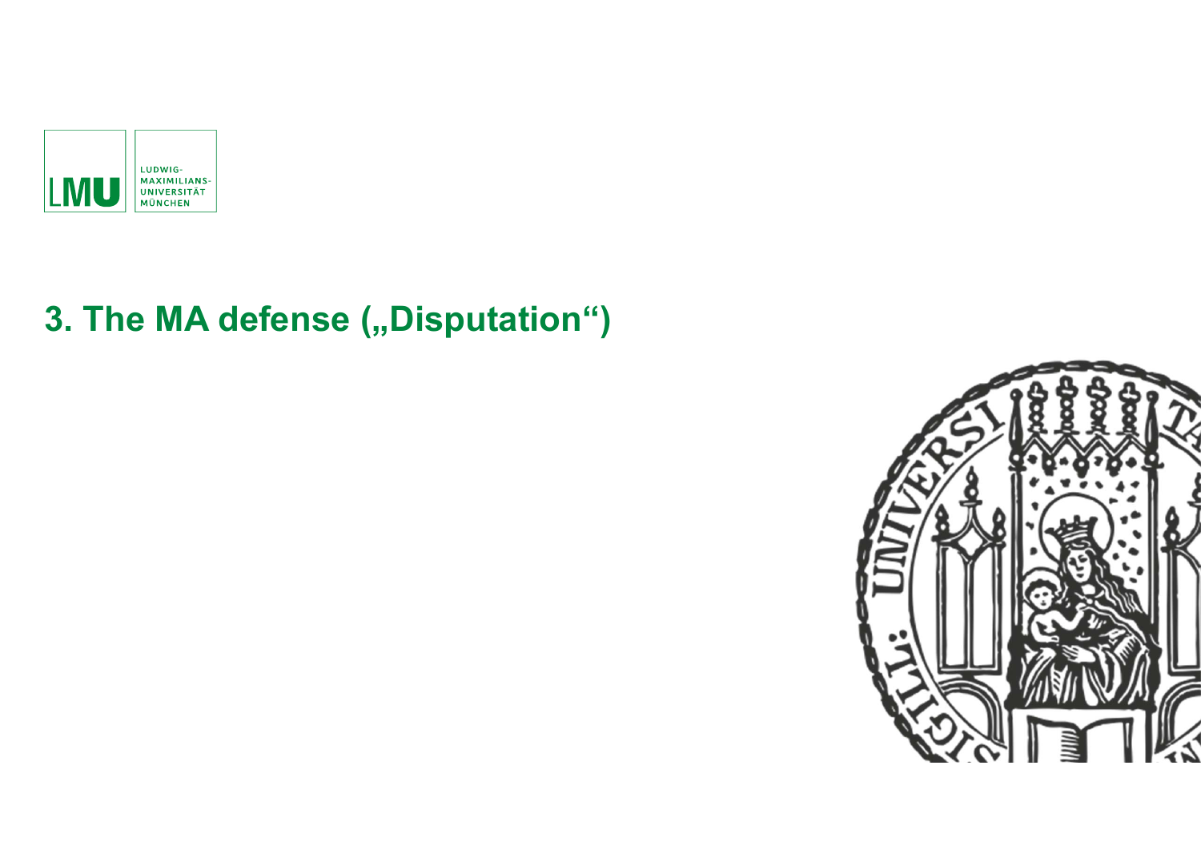

# **3. The MA defense (,,Disputation")**

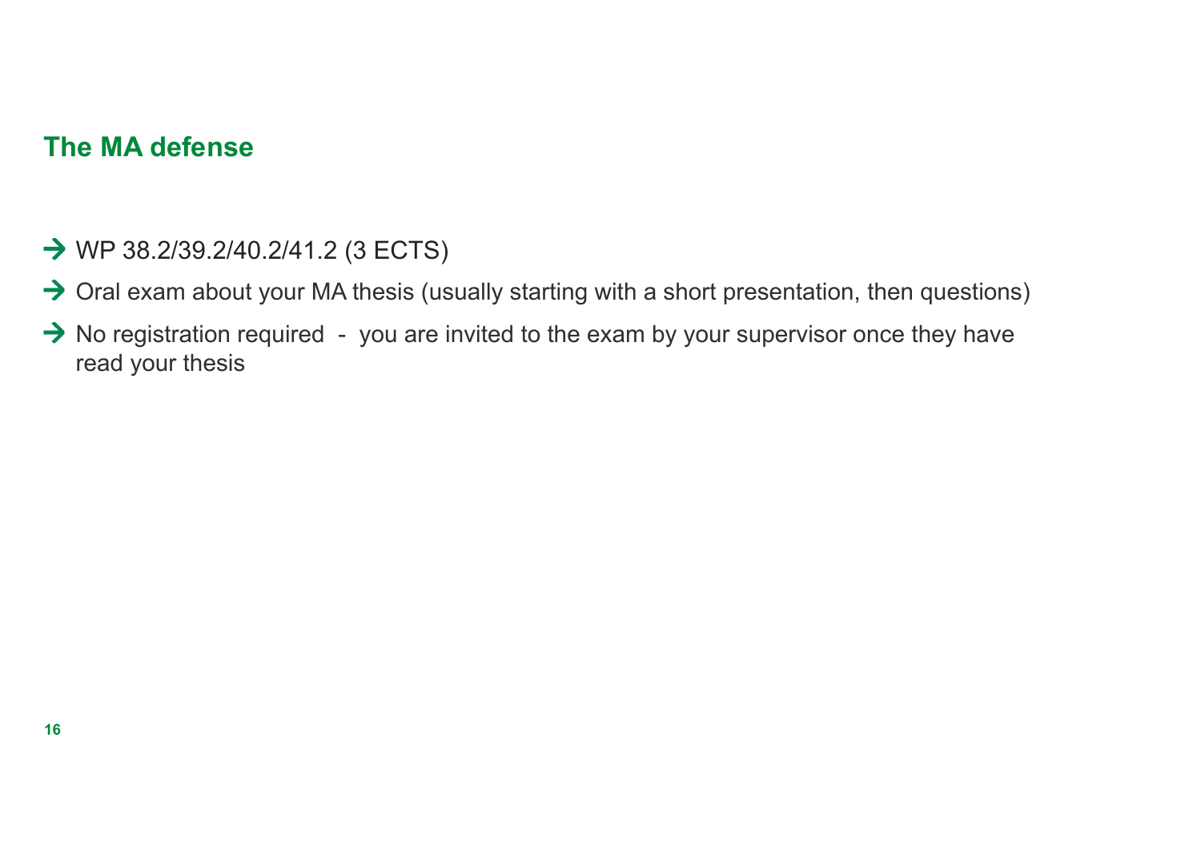## **The MA defense**

- → WP 38.2/39.2/40.2/41.2 (3 ECTS)
- $\rightarrow$  Oral exam about your MA thesis (usually starting with a short presentation, then questions)
- $\rightarrow$  No registration required you are invited to the exam by your supervisor once they have read your thesis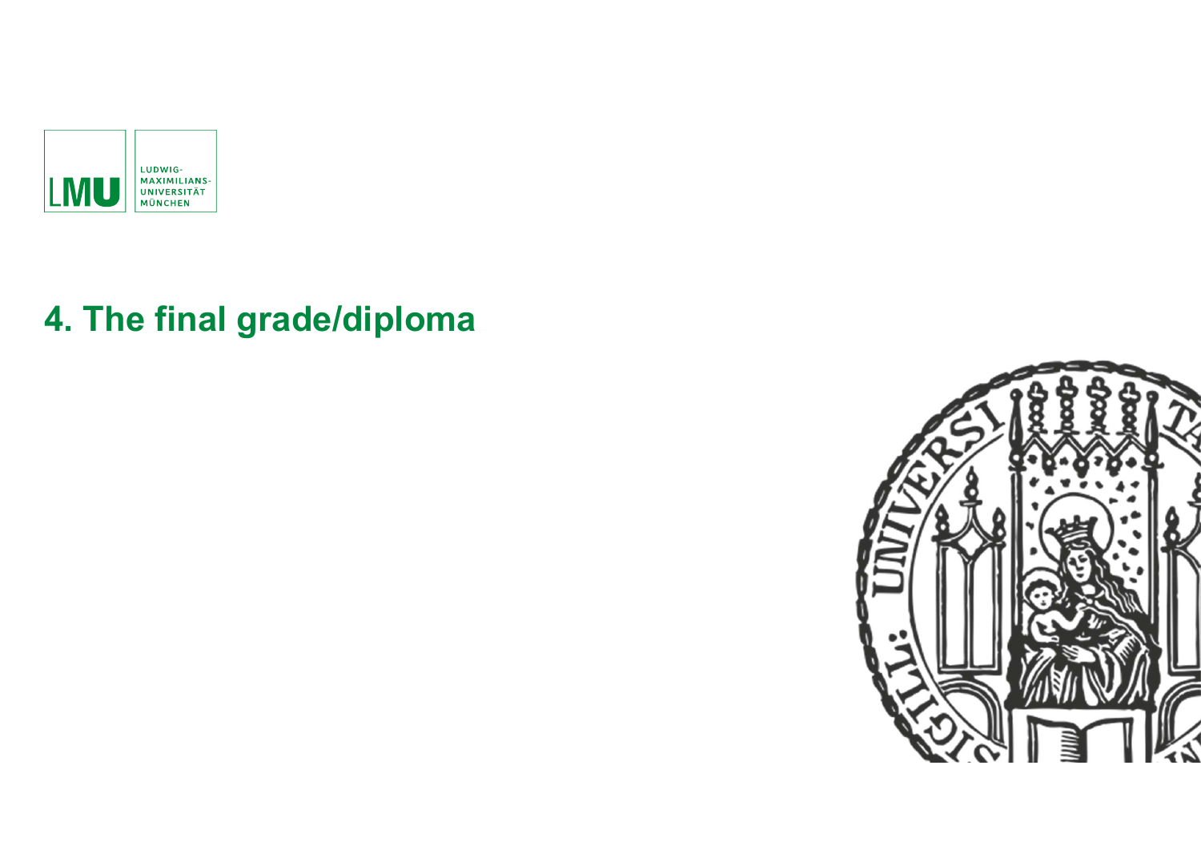

# **4. The final grade/diploma**

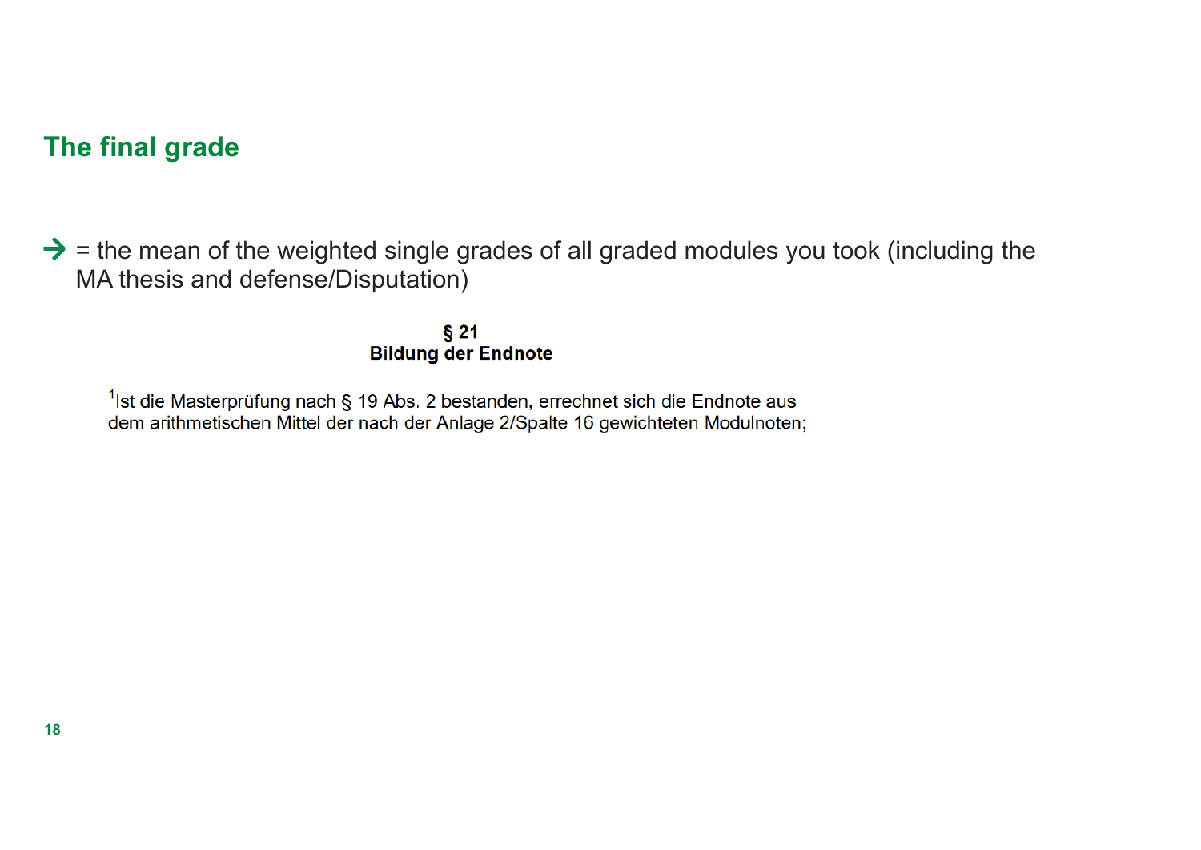## **The final grade**

 $\rightarrow$  = the mean of the weighted single grades of all graded modules you took (including the MA thesis and defense/Disputation)

> $§21$ **Bildung der Endnote**

 $1$ lst die Masterprüfung nach § 19 Abs. 2 bestanden, errechnet sich die Endnote aus dem arithmetischen Mittel der nach der Anlage 2/Spalte 16 gewichteten Modulnoten;